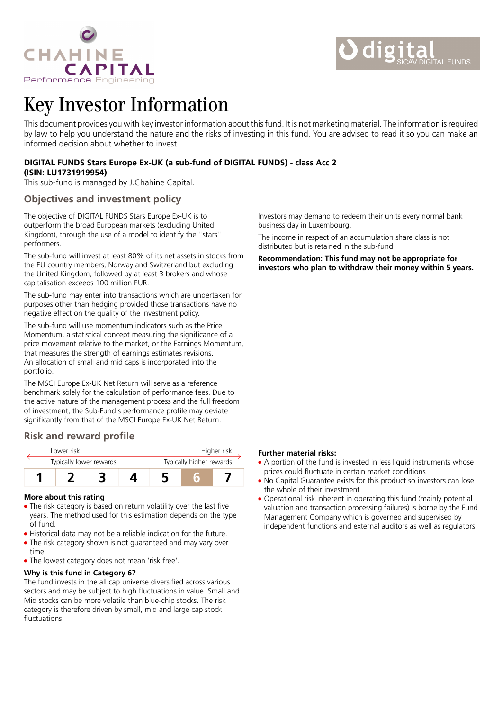

# Key Investor Information

This document provides you with key investor information about this fund. It is not marketing material. The information is required by law to help you understand the nature and the risks of investing in this fund. You are advised to read it so you can make an informed decision about whether to invest.

## **DIGITAL FUNDS Stars Europe Ex-UK (a sub-fund of DIGITAL FUNDS) - class Acc 2 (ISIN: LU1731919954)**

This sub-fund is managed by J.Chahine Capital.

# **Objectives and investment policy**

The objective of DIGITAL FUNDS Stars Europe Ex-UK is to outperform the broad European markets (excluding United Kingdom), through the use of a model to identify the "stars" performers.

The sub-fund will invest at least 80% of its net assets in stocks from the EU country members, Norway and Switzerland but excluding the United Kingdom, followed by at least 3 brokers and whose capitalisation exceeds 100 million EUR.

The sub-fund may enter into transactions which are undertaken for purposes other than hedging provided those transactions have no negative effect on the quality of the investment policy.

The sub-fund will use momentum indicators such as the Price Momentum, a statistical concept measuring the significance of a price movement relative to the market, or the Earnings Momentum, that measures the strength of earnings estimates revisions. An allocation of small and mid caps is incorporated into the portfolio.

The MSCI Europe Ex-UK Net Return will serve as a reference benchmark solely for the calculation of performance fees. Due to the active nature of the management process and the full freedom of investment, the Sub-Fund's performance profile may deviate significantly from that of the MSCI Europe Ex-UK Net Return.

# **Risk and reward profile**

| I ower risk             |  |  |  | Higher risk              |  |  |
|-------------------------|--|--|--|--------------------------|--|--|
| Typically lower rewards |  |  |  | Typically higher rewards |  |  |
|                         |  |  |  |                          |  |  |

#### **More about this rating**

- The risk category is based on return volatility over the last five years. The method used for this estimation depends on the type of fund.
- Historical data may not be a reliable indication for the future.
- The risk category shown is not guaranteed and may vary over time.
- The lowest category does not mean 'risk free'.

### **Why is this fund in Category 6?**

The fund invests in the all cap universe diversified across various sectors and may be subject to high fluctuations in value. Small and Mid stocks can be more volatile than blue-chip stocks. The risk category is therefore driven by small, mid and large cap stock fluctuations.

Investors may demand to redeem their units every normal bank business day in Luxembourg.

The income in respect of an accumulation share class is not distributed but is retained in the sub-fund.

**Recommendation: This fund may not be appropriate for investors who plan to withdraw their money within 5 years.**

#### **Further material risks:**

- A portion of the fund is invested in less liquid instruments whose prices could fluctuate in certain market conditions
- No Capital Guarantee exists for this product so investors can lose the whole of their investment
- Operational risk inherent in operating this fund (mainly potential valuation and transaction processing failures) is borne by the Fund Management Company which is governed and supervised by independent functions and external auditors as well as regulators